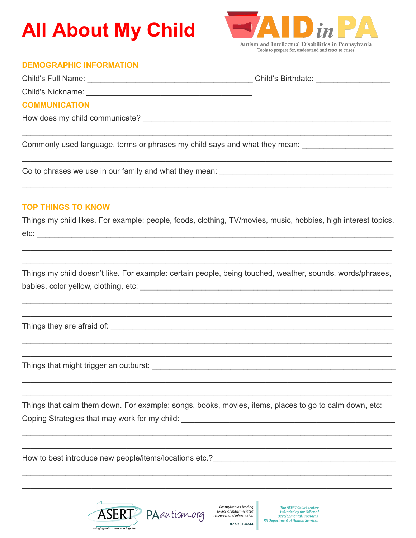# **All About My Child**



### **DEMOGRAPHIC INFORMATION**

Child's Full Name: Child's Birthdate:

**Child's Nickname:** 

# **COMMUNICATION**

How does my child communicate?<br>
How does my child communicate?

Commonly used language, terms or phrases my child says and what they mean: **commonly used language**, terms or phrases my child says and what they mean:

Go to phrases we use in our family and what they mean:

# **TOP THINGS TO KNOW**

Things my child likes. For example: people, foods, clothing, TV/movies, music, hobbies, high interest topics, 

Things my child doesn't like. For example: certain people, being touched, weather, sounds, words/phrases, babies, color yellow, clothing, etc: babies, color yellow, clothing, etc:

Things they are afraid of: The state of the state of the state of the state of the state of the state of the state of the state of the state of the state of the state of the state of the state of the state of the state of

Things that might trigger an outburst:

Things that calm them down. For example: songs, books, movies, items, places to go to calm down, etc: Coping Strategies that may work for my child: \_\_\_\_\_\_\_\_\_\_\_\_\_\_\_\_\_\_\_\_\_\_\_\_\_\_\_\_\_\_\_\_\_\_

How to best introduce new people/items/locations etc.?



The ASERT Collab is funded by the Office of Developmental Proc **PA Department of Human Services.**